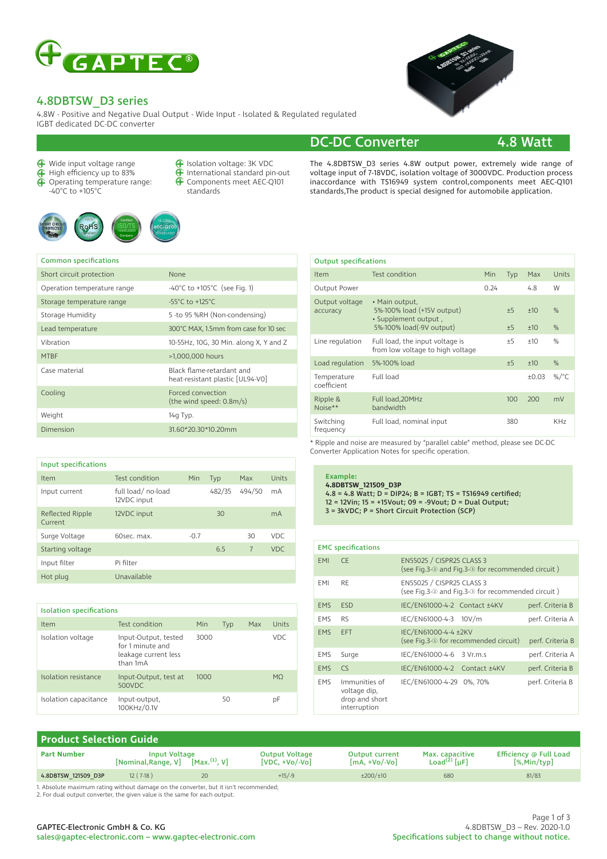

### 4.8DBTSW\_D3 series

4.8W - Positive and Negative Dual Output - Wide Input - Isolated & Regulated regulated IGBT dedicated DC-DC converter

Wide input voltage range

Common specifications

- High efficiency up to 83%
- ⊕ Operating temperature range: -40°C to +105°C





| <b>f</b> Isolation voltage: 3K VDC      |
|-----------------------------------------|
| <b>f</b> International standard pin-out |

- $\bigoplus$ Components meet AEC-Q101 standards
- 



The 4.8DBTSW D3 series 4.8W output power, extremely wide range of voltage input of 7-18VDC, isolation voltage of 3000VDC. Production process inaccordance with TS16949 system control,components meet AEC-Q101 standards,The product is special designed for automobile application.

#### Output specifications

| Short circuit protection    | None                                                          |
|-----------------------------|---------------------------------------------------------------|
| Operation temperature range | -40 $^{\circ}$ C to +105 $^{\circ}$ C (see Fig. 1)            |
| Storage temperature range   | $-55^{\circ}$ C to $+125^{\circ}$ C                           |
| Storage Humidity            | 5 -to 95 %RH (Non-condensing)                                 |
| Lead temperature            | 300°C MAX, 1.5mm from case for 10 sec                         |
| Vibration                   | 10-55Hz, 10G, 30 Min. along X, Y and Z                        |
| <b>MTBF</b>                 | >1,000,000 hours                                              |
| Case material               | Black flame-retardant and<br>heat-resistant plastic [UL94-V0] |
| Cooling                     | Forced convection<br>(the wind speed: 0.8m/s)                 |
| Weight                      | 14g Typ.                                                      |
| Dimension                   | 31.60*20.30*10.20mm                                           |

| Input specifications        |                                  |        |        |        |       |
|-----------------------------|----------------------------------|--------|--------|--------|-------|
| Item                        | Test condition                   | Min    | Typ    | Max    | Units |
| Input current               | full load/no-load<br>12VDC input |        | 482/35 | 494/50 | mA    |
| Reflected Ripple<br>Current | 12VDC input                      |        | 30     |        | mA    |
| Surge Voltage               | 60sec. max.                      | $-0.7$ |        | 30     | VDC.  |
| Starting voltage            |                                  |        | 6.5    | 7      | VDC.  |
| Input filter                | Pi filter                        |        |        |        |       |
| Hot plug                    | Unavailable                      |        |        |        |       |

| <b>Isolation specifications</b> |                                                                              |      |     |     |       |
|---------------------------------|------------------------------------------------------------------------------|------|-----|-----|-------|
| Item                            | Test condition                                                               | Min  | Typ | Max | Units |
| Isolation voltage               | Input-Output, tested<br>for 1 minute and<br>leakage current less<br>than 1mA | 3000 |     |     | VDC.  |
| Isolation resistance            | Input-Output, test at<br>500VDC                                              | 1000 |     |     | MO.   |
| Isolation capacitance           | Input-output,<br>100KHz/0.1V                                                 |      | 50  |     | рF    |

| Item                       | Test condition                                                                                   | Min  | Typ          | Max            | Units           |
|----------------------------|--------------------------------------------------------------------------------------------------|------|--------------|----------------|-----------------|
| Output Power               |                                                                                                  | 0.24 |              | 4.8            | W               |
| Output voltage<br>accuracy | • Main output,<br>5%-100% load (+15V output)<br>· Supplement output,<br>5%-100% load(-9V output) |      | $+5$<br>$+5$ | $+10$<br>$+10$ | $\%$<br>$\%$    |
| Line regulation            | Full load, the input voltage is<br>from low voltage to high voltage                              |      | ±5           | $+10$          | $\%$            |
| Load regulation            | 5%-100% load                                                                                     |      | $+5$         | $+10$          | $\%$            |
| Temperature<br>coefficient | Full load                                                                                        |      |              | $+0.03$        | %/ $^{\circ}$ C |
| Ripple &<br>Noise**        | Full load, 20MHz<br>bandwidth                                                                    |      | 100          | 200            | mV              |
| Switching<br>frequency     | Full load, nominal input                                                                         |      | 380          |                | <b>KHz</b>      |
|                            |                                                                                                  |      |              |                |                 |

\* Ripple and noise are measured by "parallel cable" method, please see DC-DC Converter Application Notes for specific operation.

#### **Example:**

**4.8DBTSW\_121509\_D3P** 4.8 = 4.8 Watt; D = DIP24; B = IGBT; TS = TS16949 certified; 12 = 12Vin; 15 = +15Vout; 09 = -9Vout; D = Dual Output; 3 = 3kVDC; P = Short Circuit Protection (SCP)

#### EMC specifications EMI CE EN55025 / CISPR25 CLASS 3 (see Fig.3-② and Fig.3-③ for recommended circuit ) EMI RE EN55025 / CISPR25 CLASS 3 (see Fig.3-② and Fig.3-③ for recommended circuit ) EMS ESD IEC/EN61000-4-2 Contact ±4KV perf. Criteria B EMS RS IEC/EN61000-4-3 10V/m perf. Criteria A EMS EFT IEC/EN61000-4-4 ±2KV (see Fig.3-<sup>1</sup> for recommended circuit) perf. Criteria B EMS Surge IEC/EN61000-4-6 3 Vr.m.s perf. Criteria A EMS CS IEC/EN61000-4-2 Contact ±4KV perf. Criteria B EMS Immunities of voltage dip, drop and short interruption IEC/EN61000-4-29 0%, 70% perf. Criteria B

| <b>Product Selection Guide</b> |                                             |                           |                                            |                                            |                                               |                                           |
|--------------------------------|---------------------------------------------|---------------------------|--------------------------------------------|--------------------------------------------|-----------------------------------------------|-------------------------------------------|
| <b>Part Number</b>             | <b>Input Voltage</b><br>[Nominal, Range, V] | [Max, <sup>(1)</sup> , V] | <b>Output Voltage</b><br>$[VDC, +Vo/.Vol]$ | <b>Output current</b><br>$[mA. + Vo/.Vol]$ | Max. capacitive<br>Load <sup>(2)</sup> $[uF]$ | Efficiency @ Full Load<br>$[\%$ ,Min/typ] |
| 4.8DBTSW 121509 D3P            | $12(7-18)$                                  | $20^{\circ}$              | $+15/9$                                    | $\pm 200/\pm 10$                           | 680                                           | 81/83                                     |
|                                |                                             |                           |                                            |                                            |                                               |                                           |

1. Absolute maximum rating without damage on the converter, but it isn't recommended; 2. For dual output converter, the given value is the same for each output.

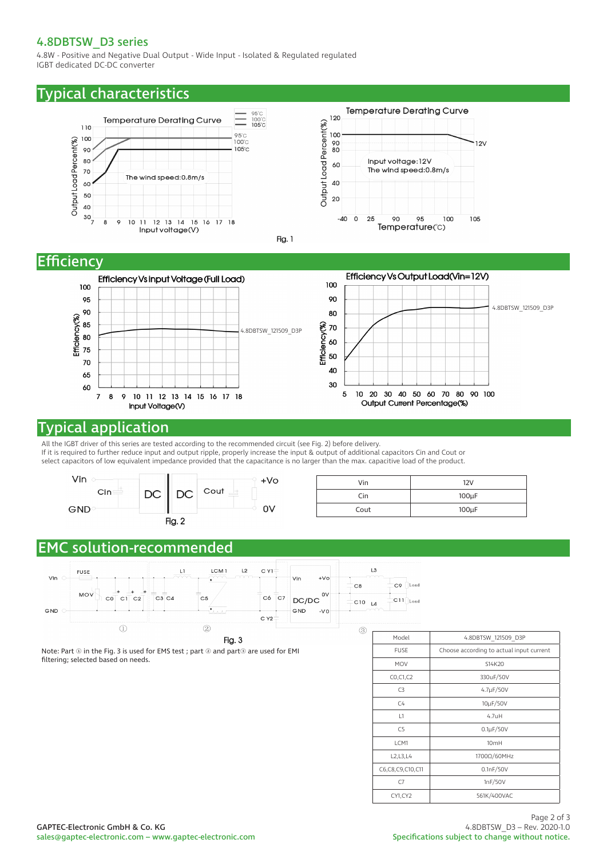### 4.8DBTSW\_D3 series

4.8W - Positive and Negative Dual Output - Wide Input - Isolated & Regulated regulated IGBT dedicated DC-DC converter

### Typical characteristics



## **Efficiency**



## Typical application

All the IGBT driver of this series are tested according to the recommended circuit (see Fig. 2) before delivery. If it is required to further reduce input and output ripple, properly increase the input & output of additional capacitors Cin and Cout or select capacitors of low equivalent impedance provided that the capacitance is no larger than the max. capacitive load of the product.



| Vin  | 12V        |
|------|------------|
| Cin  | $100\mu F$ |
| Cout | $100\mu F$ |

# EMC solution-recommended



Fig. 3

Note: Part ① in the Fig. 3 is used for EMS test ; part ② and part③ are used for EMI filtering; selected based on needs.

| Model                | 4.8DBTSW 121509 D3P                      |
|----------------------|------------------------------------------|
| <b>FUSE</b>          | Choose according to actual input current |
| <b>MOV</b>           | S14K20                                   |
| CO, C1, C2           | 330uF/50V                                |
| C3                   | $4.7\mu F/50V$                           |
| C <sub>4</sub>       | 10µF/50V                                 |
| L1                   | 4.7uH                                    |
| C <sub>5</sub>       | $0.1\mu$ F/50V                           |
| LCM1                 | 10 <sub>mH</sub>                         |
| L2, L3, L4           | 1700Ω/60MHz                              |
| C6, C8, C9, C10, C11 | 0.1nF/50V                                |
| C7                   | 1nF/50V                                  |
| CY1,CY2              | 561K/400VAC                              |